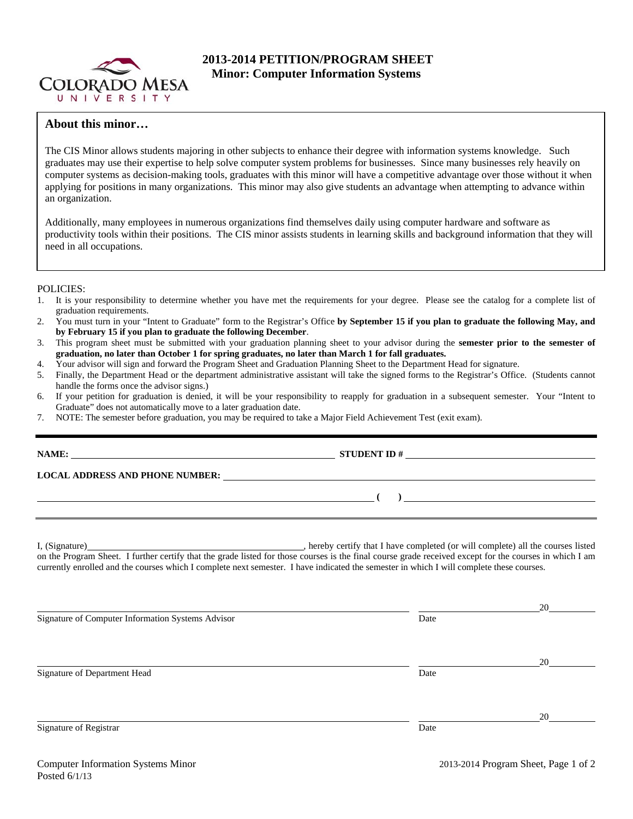

# **2013-2014 PETITION/PROGRAM SHEET Minor: Computer Information Systems**

# **About this minor…**

The CIS Minor allows students majoring in other subjects to enhance their degree with information systems knowledge. Such graduates may use their expertise to help solve computer system problems for businesses. Since many businesses rely heavily on computer systems as decision-making tools, graduates with this minor will have a competitive advantage over those without it when applying for positions in many organizations. This minor may also give students an advantage when attempting to advance within an organization.

Additionally, many employees in numerous organizations find themselves daily using computer hardware and software as productivity tools within their positions. The CIS minor assists students in learning skills and background information that they will need in all occupations.

## POLICIES:

- 1. It is your responsibility to determine whether you have met the requirements for your degree. Please see the catalog for a complete list of graduation requirements.
- 2. You must turn in your "Intent to Graduate" form to the Registrar's Office **by September 15 if you plan to graduate the following May, and by February 15 if you plan to graduate the following December**.
- 3. This program sheet must be submitted with your graduation planning sheet to your advisor during the **semester prior to the semester of graduation, no later than October 1 for spring graduates, no later than March 1 for fall graduates.**
- 4. Your advisor will sign and forward the Program Sheet and Graduation Planning Sheet to the Department Head for signature.
- 5. Finally, the Department Head or the department administrative assistant will take the signed forms to the Registrar's Office. (Students cannot handle the forms once the advisor signs.)
- 6. If your petition for graduation is denied, it will be your responsibility to reapply for graduation in a subsequent semester. Your "Intent to Graduate" does not automatically move to a later graduation date.
- 7. NOTE: The semester before graduation, you may be required to take a Major Field Achievement Test (exit exam).

|                                                                                                                                                                                                                                                                                                     | STUDENT ID $#$                                                                                                                                                                                                                                                                                   |            |  |  |  |  |
|-----------------------------------------------------------------------------------------------------------------------------------------------------------------------------------------------------------------------------------------------------------------------------------------------------|--------------------------------------------------------------------------------------------------------------------------------------------------------------------------------------------------------------------------------------------------------------------------------------------------|------------|--|--|--|--|
| LOCAL ADDRESS AND PHONE NUMBER: Under the contract of the contract of the contract of the contract of the contract of the contract of the contract of the contract of the contract of the contract of the contract of the cont                                                                      |                                                                                                                                                                                                                                                                                                  |            |  |  |  |  |
|                                                                                                                                                                                                                                                                                                     | $\overline{a}$ ( ) and the contract of $\overline{a}$ ( ) and the contract of $\overline{a}$ ( ) and $\overline{a}$ ( ) and $\overline{a}$ ( ) and $\overline{a}$ ( ) and $\overline{a}$ ( ) and $\overline{a}$ ( ) and $\overline{a}$ ( ) and $\overline{a}$ ( ) and $\overline{a}$ ( ) and $\$ |            |  |  |  |  |
| on the Program Sheet. I further certify that the grade listed for those courses is the final course grade received except for the courses in which I am<br>currently enrolled and the courses which I complete next semester. I have indicated the semester in which I will complete these courses. |                                                                                                                                                                                                                                                                                                  |            |  |  |  |  |
| Signature of Computer Information Systems Advisor                                                                                                                                                                                                                                                   | Date                                                                                                                                                                                                                                                                                             | $20 \quad$ |  |  |  |  |
| Signature of Department Head                                                                                                                                                                                                                                                                        | Date                                                                                                                                                                                                                                                                                             | 20         |  |  |  |  |
| Signature of Registrar                                                                                                                                                                                                                                                                              | Date                                                                                                                                                                                                                                                                                             | 20         |  |  |  |  |